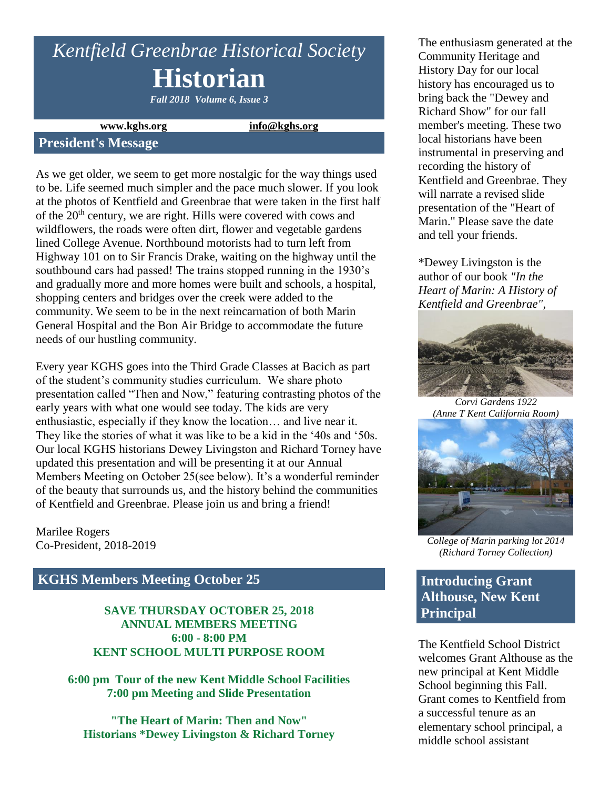# *Kentfield Greenbrae Historical Society* **Historian**

*Fall 2018 Volume 6, Issue 3*

**www.kghs.org [info@kghs.org](mailto:info@kghs.org)**

### **President's Message**

As we get older, we seem to get more nostalgic for the way things used to be. Life seemed much simpler and the pace much slower. If you look at the photos of Kentfield and Greenbrae that were taken in the first half of the 20th century, we are right. Hills were covered with cows and wildflowers, the roads were often dirt, flower and vegetable gardens lined College Avenue. Northbound motorists had to turn left from Highway 101 on to Sir Francis Drake, waiting on the highway until the southbound cars had passed! The trains stopped running in the 1930's and gradually more and more homes were built and schools, a hospital, shopping centers and bridges over the creek were added to the community. We seem to be in the next reincarnation of both Marin General Hospital and the Bon Air Bridge to accommodate the future needs of our hustling community.

Every year KGHS goes into the Third Grade Classes at Bacich as part of the student's community studies curriculum. We share photo presentation called "Then and Now," featuring contrasting photos of the early years with what one would see today. The kids are very enthusiastic, especially if they know the location… and live near it. They like the stories of what it was like to be a kid in the '40s and '50s. Our local KGHS historians Dewey Livingston and Richard Torney have updated this presentation and will be presenting it at our Annual Members Meeting on October 25(see below). It's a wonderful reminder of the beauty that surrounds us, and the history behind the communities of Kentfield and Greenbrae. Please join us and bring a friend!

Marilee Rogers Co-President, 2018-2019

# **KGHS Members Meeting October 25**

#### **SAVE THURSDAY OCTOBER 25, 2018 ANNUAL MEMBERS MEETING 6:00 - 8:00 PM KENT SCHOOL MULTI PURPOSE ROOM**

**6:00 pm Tour of the new Kent Middle School Facilities 7:00 pm Meeting and Slide Presentation**

**"The Heart of Marin: Then and Now" Historians \*Dewey Livingston & Richard Torney**

The enthusiasm generated at the Community Heritage and History Day for our local history has encouraged us to bring back the "Dewey and Richard Show" for our fall member's meeting. These two local historians have been instrumental in preserving and recording the history of Kentfield and Greenbrae. They will narrate a revised slide presentation of the "Heart of Marin." Please save the date and tell your friends.

\*Dewey Livingston is the author of our book *"In the Heart of Marin: A History of Kentfield and Greenbrae",*



*Corvi Gardens 1922 (Anne T Kent California Room)*



*College of Marin parking lot 2014 (Richard Torney Collection)*

**Introducing Grant Althouse, New Kent Principal** 

The Kentfield School District welcomes Grant Althouse as the new principal at Kent Middle School beginning this Fall. Grant comes to Kentfield from a successful tenure as an elementary school principal, a middle school assistant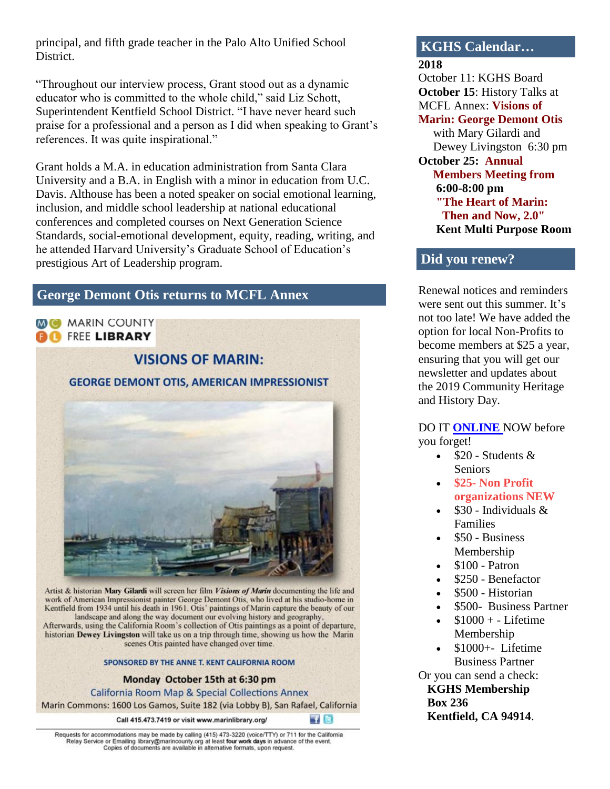principal, and fifth grade teacher in the Palo Alto Unified School District.

"Throughout our interview process, Grant stood out as a dynamic educator who is committed to the whole child," said Liz Schott, Superintendent Kentfield School District. "I have never heard such praise for a professional and a person as I did when speaking to Grant's references. It was quite inspirational."

Grant holds a M.A. in education administration from Santa Clara University and a B.A. in English with a minor in education from U.C. Davis. Althouse has been a noted speaker on social emotional learning, inclusion, and middle school leadership at national educational conferences and completed courses on Next Generation Science Standards, social-emotional development, equity, reading, writing, and he attended Harvard University's Graduate School of Education's prestigious Art of Leadership program.

# **George Demont Otis returns to MCFL Annex**

**MC MARIN COUNTY BO** FREE LIBRARY

**VISIONS OF MARIN: GEORGE DEMONT OTIS, AMERICAN IMPRESSIONIST** 

Artist & historian Mary Gilardi will screen her film Visions of Marin documenting the life and work of American Impressionist painter George Demont Otis, who lived at his studio-home in Kentfield from 1934 until his death in 1961. Otis' paintings of Marin capture the beauty of our landscape and along the way document our evolving history and geography, Afterwards, using the California Room's collection of Otis paintings as a point of departure, historian Dewey Livingston will take us on a trip through time, showing us how the Marin scenes Otis painted have changed over time.

#### SPONSORED BY THE ANNE T. KENT CALIFORNIA ROOM

Monday October 15th at 6:30 pm

**California Room Map & Special Collections Annex** Marin Commons: 1600 Los Gamos, Suite 182 (via Lobby B), San Rafael, California

Call 415.473.7419 or visit www.marinlibrary.org/

**HIG** 

Requests for accommodations may be made by calling (415) 473-3220 (voice/TTY) or 711 for the California Relay Service or Emailing library marincounty org at least four work days in advance of the event.<br>Copies of documents are available in alternative formats, upon request.

# **KGHS Calendar…**

**2018**

October 11: KGHS Board **October 15**: History Talks at MCFL Annex: **Visions of Marin: George Demont Otis**

 with Mary Gilardi and Dewey Livingston 6:30 pm

# **October 25: Annual Members Meeting from 6:00-8:00 pm "The Heart of Marin: Then and Now, 2.0"**

 **Kent Multi Purpose Room**

# **Did you renew?**

Renewal notices and reminders were sent out this summer. It's not too late! We have added the option for local Non-Profits to become members at \$25 a year, ensuring that you will get our newsletter and updates about the 2019 Community Heritage and History Day.

DO IT **[ONLINE](http://www.kghs.org/)** NOW before you forget!

- $\bullet$  \$20 Students & Seniors
- **\$25- Non Profit organizations NEW**
- $\bullet$  \$30 Individuals & Families
- \$50 Business Membership
- \$100 Patron
- \$250 Benefactor
- \$500 Historian
- \$500- Business Partner
- \$1000 + Lifetime Membership
- $\bullet$  \$1000+- Lifetime Business Partner

Or you can send a check:  **KGHS Membership Box 236 Kentfield, CA 94914**.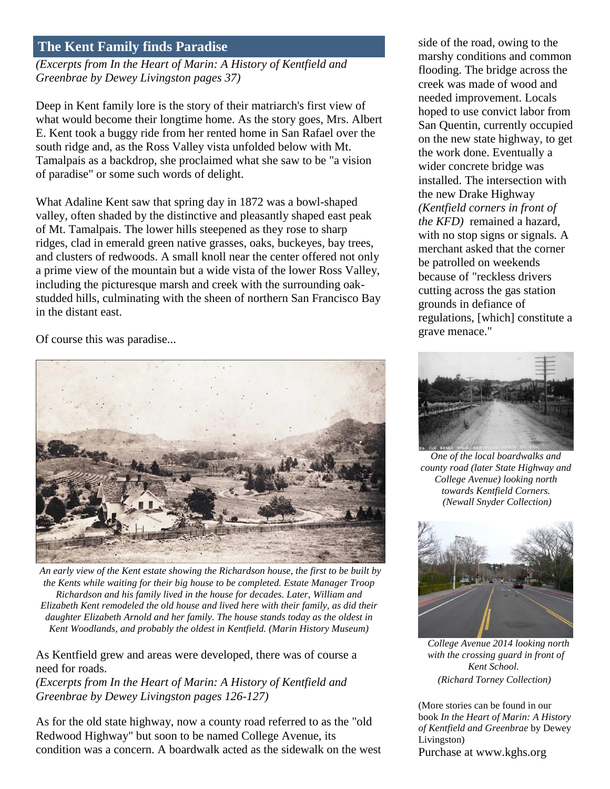# **The Kent Family finds Paradise**

*(Excerpts from In the Heart of Marin: A History of Kentfield and Greenbrae by Dewey Livingston pages 37)*

Deep in Kent family lore is the story of their matriarch's first view of what would become their longtime home. As the story goes, Mrs. Albert E. Kent took a buggy ride from her rented home in San Rafael over the south ridge and, as the Ross Valley vista unfolded below with Mt. Tamalpais as a backdrop, she proclaimed what she saw to be "a vision of paradise" or some such words of delight.

What Adaline Kent saw that spring day in 1872 was a bowl-shaped valley, often shaded by the distinctive and pleasantly shaped east peak of Mt. Tamalpais. The lower hills steepened as they rose to sharp ridges, clad in emerald green native grasses, oaks, buckeyes, bay trees, and clusters of redwoods. A small knoll near the center offered not only a prime view of the mountain but a wide vista of the lower Ross Valley, including the picturesque marsh and creek with the surrounding oakstudded hills, culminating with the sheen of northern San Francisco Bay in the distant east.

Of course this was paradise...



*An early view of the Kent estate showing the Richardson house, the first to be built by the Kents while waiting for their big house to be completed. Estate Manager Troop Richardson and his family lived in the house for decades. Later, William and Elizabeth Kent remodeled the old house and lived here with their family, as did their daughter Elizabeth Arnold and her family. The house stands today as the oldest in Kent Woodlands, and probably the oldest in Kentfield. (Marin History Museum)*

As Kentfield grew and areas were developed, there was of course a need for roads.

*(Excerpts from In the Heart of Marin: A History of Kentfield and Greenbrae by Dewey Livingston pages 126-127)*

As for the old state highway, now a county road referred to as the "old Redwood Highway" but soon to be named College Avenue, its condition was a concern. A boardwalk acted as the sidewalk on the west side of the road, owing to the marshy conditions and common flooding. The bridge across the creek was made of wood and needed improvement. Locals hoped to use convict labor from San Quentin, currently occupied on the new state highway, to get the work done. Eventually a wider concrete bridge was installed. The intersection with the new Drake Highway *(Kentfield corners in front of the KFD)* remained a hazard, with no stop signs or signals*.* A merchant asked that the corner be patrolled on weekends because of "reckless drivers cutting across the gas station grounds in defiance of regulations, [which] constitute a grave menace."



*One of the local boardwalks and county road (later State Highway and College Avenue) looking north towards Kentfield Corners. (Newall Snyder Collection)*



*College Avenue 2014 looking north with the crossing guard in front of Kent School. (Richard Torney Collection)*

(More stories can be found in our book *In the Heart of Marin: A History of Kentfield and Greenbrae* by Dewey Livingston) Purchase at www.kghs.org